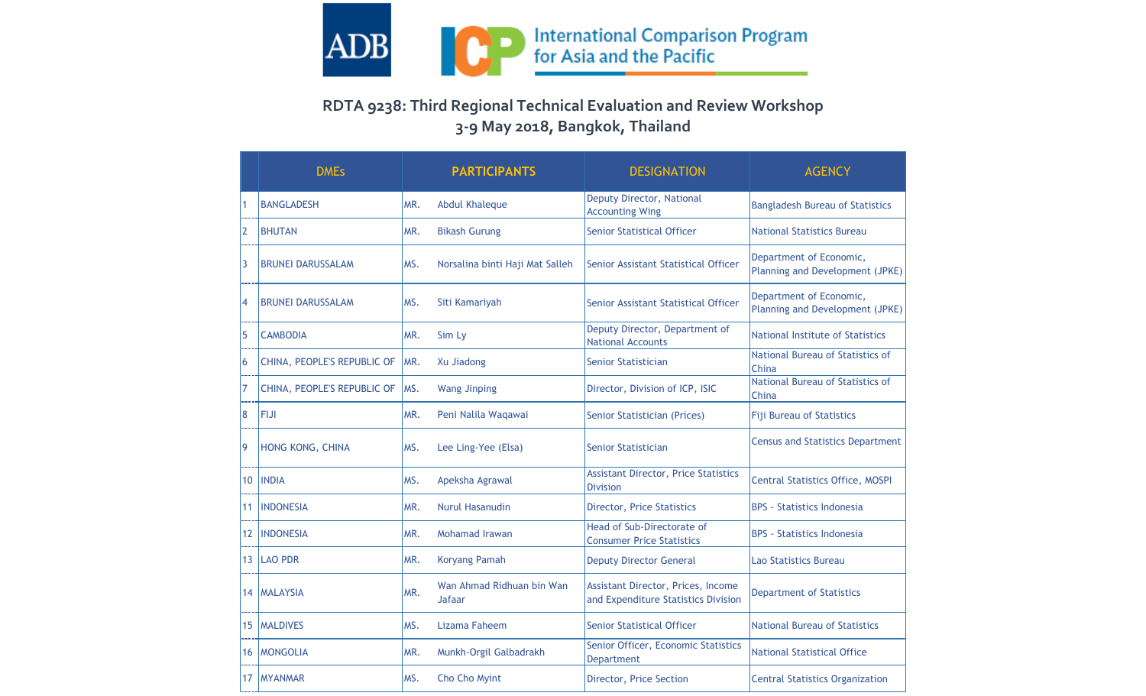

## **RDTA 9238: Third Regional Technical Evaluation and Review Workshop 3-9 May 2018, Bangkok, Thailand**

|                   | <b>DMEs</b>                 |      | <b>PARTICIPANTS</b>                 | <b>DESIGNATION</b>                                                        | <b>AGENCY</b>                                              |
|-------------------|-----------------------------|------|-------------------------------------|---------------------------------------------------------------------------|------------------------------------------------------------|
|                   | <b>BANGLADESH</b>           | MR.  | <b>Abdul Khaleque</b>               | Deputy Director, National<br><b>Accounting Wing</b>                       | <b>Bangladesh Bureau of Statistics</b>                     |
| 2                 | <b>BHUTAN</b>               | MR.  | <b>Bikash Gurung</b>                | <b>Senior Statistical Officer</b>                                         | <b>National Statistics Bureau</b>                          |
| $\overline{3}$    | <b>BRUNEI DARUSSALAM</b>    | MS.  | Norsalina binti Haji Mat Salleh     | Senior Assistant Statistical Officer                                      | Department of Economic,<br>Planning and Development (JPKE) |
| 14                | <b>BRUNEI DARUSSALAM</b>    | MS.  | Siti Kamariyah                      | Senior Assistant Statistical Officer                                      | Department of Economic,<br>Planning and Development (JPKE) |
| 5                 | <b>CAMBODIA</b>             | MR.  | Sim Ly                              | Deputy Director, Department of<br><b>National Accounts</b>                | National Institute of Statistics                           |
| 16                | CHINA, PEOPLE'S REPUBLIC OF | IMR. | Xu Jiadong                          | Senior Statistician                                                       | National Bureau of Statistics of<br>China                  |
| 17                | CHINA, PEOPLE'S REPUBLIC OF | MS.  | <b>Wang Jinping</b>                 | Director, Division of ICP, ISIC                                           | National Bureau of Statistics of<br>China                  |
| 8                 | <b>FIJI</b>                 | MR.  | Peni Nalila Waqawai                 | Senior Statistician (Prices)                                              | <b>Fiji Bureau of Statistics</b>                           |
| 19                | HONG KONG, CHINA            | MS.  | Lee Ling-Yee (Elsa)                 | <b>Senior Statistician</b>                                                | <b>Census and Statistics Department</b>                    |
| 10 <sup>1</sup>   | <b>INDIA</b>                | MS.  | Apeksha Agrawal                     | <b>Assistant Director, Price Statistics</b><br><b>Division</b>            | <b>Central Statistics Office, MOSPI</b>                    |
| 11                | <b>INDONESIA</b>            | MR.  | Nurul Hasanudin                     | <b>Director, Price Statistics</b>                                         | <b>BPS</b> - Statistics Indonesia                          |
| $12 \overline{ }$ | <b>INDONESIA</b>            | MR.  | Mohamad Irawan                      | Head of Sub-Directorate of<br><b>Consumer Price Statistics</b>            | BPS - Statistics Indonesia                                 |
| 13                | <b>LAO PDR</b>              | MR.  | <b>Koryang Pamah</b>                | <b>Deputy Director General</b>                                            | <b>Lao Statistics Bureau</b>                               |
| 14                | <b>MALAYSIA</b>             | MR.  | Wan Ahmad Ridhuan bin Wan<br>Jafaar | Assistant Director, Prices, Income<br>and Expenditure Statistics Division | <b>Department of Statistics</b>                            |
| 15                | <b>MALDIVES</b>             | MS.  | Lizama Faheem                       | <b>Senior Statistical Officer</b>                                         | National Bureau of Statistics                              |
| 16 <sup>2</sup>   | <b>MONGOLIA</b>             | MR.  | Munkh-Orgil Galbadrakh              | Senior Officer, Economic Statistics<br><b>Department</b>                  | <b>National Statistical Office</b>                         |
| 17                | <b>IMYANMAR</b>             | MS.  | Cho Cho Myint                       | Director, Price Section                                                   | <b>Central Statistics Organization</b>                     |